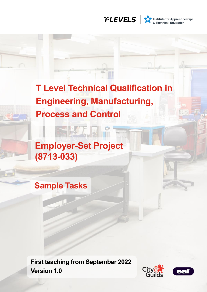

# **T Level Technical Qualification in Engineering, Manufacturing, Process and Control**

**Employer-Set Project (8713-033)**

**Sample Tasks**

**First teaching from September 2022 Version 1.0**



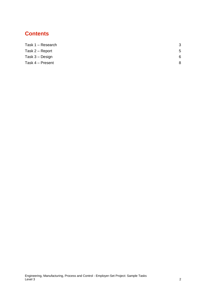## **Contents**

| Task 1 – Research | -3 |
|-------------------|----|
| Task 2 – Report   | 5  |
| Task 3 – Design   | 6  |
| Task 4 - Present  | 8  |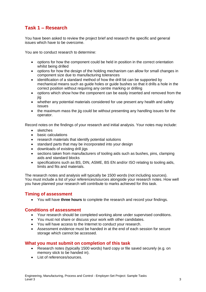## <span id="page-2-0"></span>**Task 1 – Research**

You have been asked to review the project brief and research the specific and general issues which have to be overcome.

You are to conduct research to determine:

- options for how the component could be held in position in the correct orientation whilst being drilled
- options for how the design of the holding mechanism can allow for small changes in component size due to manufacturing tolerances
- identification of a standard method of how the drill bit can be supported by mechanical means such as guide holes or guide bushes so that it drills a hole in the correct position without requiring any centre marking or drilling
- options which show how the component can be easily inserted and removed from the iia
- whether any potential materials considered for use present any health and safety issues
- the maximum mass the jig could be without presenting any handling issues for the operator.

Record notes on the findings of your research and initial analysis. Your notes may include:

- sketches
- basic calculations
- research materials that identify potential solutions
- standard parts that may be incorporated into your design
- downloads of existing drill jigs
- sections taken from manufacturers of tooling aids such as bushes, pins, clamping aids and standard blocks
- specifications such as BS, DIN, ASME, BS EN and/or ISO relating to tooling aids, limits and fits and materials.

The research notes and analysis will typically be 1500 words (not including sources). You must include a list of your references/sources alongside your research notes. How well you have planned your research will contribute to marks achieved for this task.

## **Timing of assessment**

• You will have **three hours** to complete the research and record your findings.

## **Conditions of assessment**

- Your research should be completed working alone under supervised conditions.
- You must not share or discuss your work with other candidates.
- You will have access to the Internet to conduct your research.
- Assessment evidence must be handed in at the end of each session for secure storage which cannot be accessed.

## **What you must submit on completion of this task**

- Research notes (typically 1500 words) hard copy or file saved securely (e.g. on memory stick to be handed in).
- List of references/sources.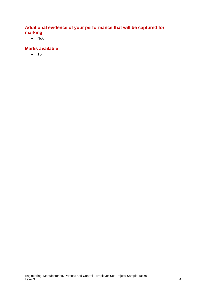## **Additional evidence of your performance that will be captured for marking**

 $\bullet$  N/A

## **Marks available**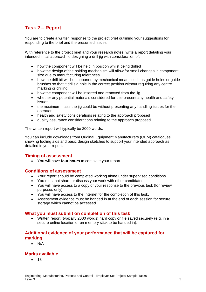## <span id="page-4-0"></span>**Task 2 – Report**

You are to create a written response to the project brief outlining your suggestions for responding to the brief and the presented issues.

With reference to the project brief and your research notes, write a report detailing your intended initial approach to designing a drill jig with consideration of:

- how the component will be held in position whilst being drilled
- how the design of the holding mechanism will allow for small changes in component size due to manufacturing tolerances
- how the drill bit will be supported by mechanical means such as quide holes or quide brushes so that it drills a hole in the correct position without requiring any centre marking or drilling
- how the component will be inserted and removed from the jig
- whether any potential materials considered for use present any health and safety issues
- the maximum mass the jig could be without presenting any handling issues for the operator
- health and safety considerations relating to the approach proposed
- quality assurance considerations relating to the approach proposed.

The written report will typically be 2000 words.

You can include downloads from Original Equipment Manufacturers (OEM) catalogues showing tooling aids and basic design sketches to support your intended approach as detailed in your report.

## **Timing of assessment**

• You will have **four hours** to complete your report.

## **Conditions of assessment**

- Your report should be completed working alone under supervised conditions.
- You must not share or discuss your work with other candidates.
- You will have access to a copy of your response to the previous task (for review purposes only).
- You will have access to the Internet for the completion of this task.
- Assessment evidence must be handed in at the end of each session for secure storage which cannot be accessed.

#### **What you must submit on completion of this task**

• Written report (typically 2000 words) hard copy or file saved securely (e.g. in a secure online location or on memory stick to be handed in).

## **Additional evidence of your performance that will be captured for marking**

• N/A

## **Marks available**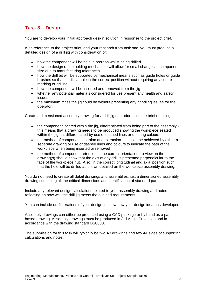## <span id="page-5-0"></span>**Task 3 – Design**

You are to develop your initial approach design solution in response to the project brief.

With reference to the project brief, and your research from task one, you must produce a detailed design of a drill iig with consideration of:

- how the component will be held in position whilst being drilled
- how the design of the holding mechanism will allow for small changes in component size due to manufacturing tolerances
- how the drill bit will be supported by mechanical means such as guide holes or guide brushes so that it drills a hole in the correct position without requiring any centre marking or drilling
- how the component will be inserted and removed from the jig
- whether any potential materials considered for use present any health and safety issues
- the maximum mass the jig could be without presenting any handling issues for the operator.

Create a dimensioned assembly drawing for a drill jig that addresses the brief detailing:

- the component located within the jig, differentiated from being part of the assembly this means that a drawing needs to be produced showing the workpiece seated within the jig but differentiated by use of dashed lines or differing colours
- the method of component insertion and extraction this can be achieved by either a separate drawing or use of dashed lines and colours to indicate the path of the workpiece when being inserted or removed
- the method of component retention in the correct orientation a view on the drawing(s) should show that the axis of any drill is presented perpendicular to the face of the workpiece nut. Also, in the correct longitudinal and axial position such that the hole will be drilled as shown detailed on the workpiece assembly drawing.

You do not need to create all detail drawings and assemblies, just a dimensioned assembly drawing containing all the critical dimensions and identification of standard parts.

Include any relevant design calculations related to your assembly drawing and notes reflecting on how well the drill jig meets the outlined requirements.

You can include draft iterations of your design to show how your design idea has developed.

Assembly drawings can either be produced using a CAD package or by hand as a paperbased drawing. Assembly drawings must be produced in 3rd Angle Projection and in accordance with the drawing standard BS8888.

The submission for this task will typically be two A3 drawings and two A4 sides of supporting calculations and notes.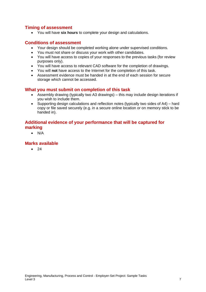## **Timing of assessment**

• You will have **six hours** to complete your design and calculations.

## **Conditions of assessment**

- Your design should be completed working alone under supervised conditions.
- You must not share or discuss your work with other candidates.
- You will have access to copies of your responses to the previous tasks (for review purposes only).
- You will have access to relevant CAD software for the completion of drawings.
- You will **not** have access to the Internet for the completion of this task.
- Assessment evidence must be handed in at the end of each session for secure storage which cannot be accessed.

## **What you must submit on completion of this task**

- Assembly drawing (typically two A3 drawings) this may include design iterations if you wish to include them.
- Supporting design calculations and reflection notes (typically two sides of A4) hard copy or file saved securely (e.g. in a secure online location or on memory stick to be handed in).

## **Additional evidence of your performance that will be captured for marking**

• N/A

## **Marks available**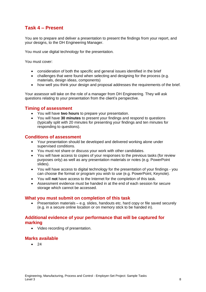## <span id="page-7-0"></span>**Task 4 – Present**

You are to prepare and deliver a presentation to present the findings from your report, and your designs, to the DH Engineering Manager.

You must use digital technology for the presentation.

You must cover:

- consideration of both the specific and general issues identified in the brief
- challenges that were found when selecting and designing for the process (e.g. materials, design ideas, components)
- how well you think your design and proposal addresses the requirements of the brief.

Your assessor will take on the role of a manager from DH Engineering. They will ask questions relating to your presentation from the client's perspective.

## **Timing of assessment**

- You will have **two hours** to prepare your presentation.
- You will have **30 minutes** to present your findings and respond to questions (typically split with 20 minutes for presenting your findings and ten minutes for responding to questions).

## **Conditions of assessment**

- Your presentation should be developed and delivered working alone under supervised conditions.
- You must not share or discuss your work with other candidates.
- You will have access to copies of your responses to the previous tasks (for review purposes only) as well as any presentation materials or notes (e.g. PowerPoint slides).
- You will have access to digital technology for the presentation of your findings you can choose the format or program you wish to use (e.g. PowerPoint, Keynote).
- You will **not** have access to the Internet for the completion of this task.
- Assessment evidence must be handed in at the end of each session for secure storage which cannot be accessed.

## **What you must submit on completion of this task**

• Presentation materials – e.g. slides, handouts etc. hard copy or file saved securely (e.g. in a secure online location or on memory stick to be handed in).

## **Additional evidence of your performance that will be captured for marking**

• Video recording of presentation.

## **Marks available**